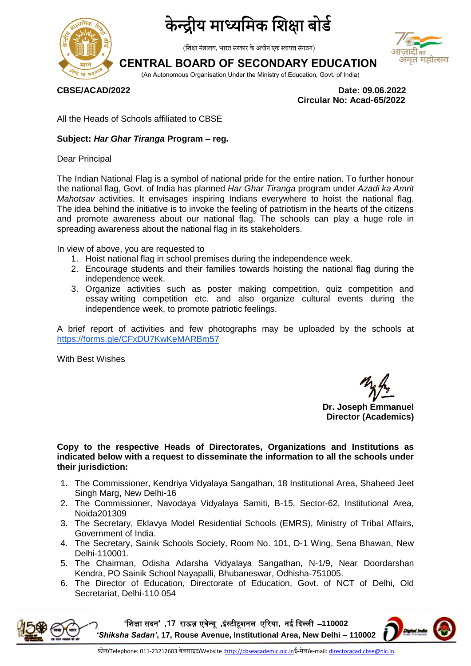

## द्रीय माध्यमिक शिक्षा बोर्ड

(शिक्षा मंत्रालय, भारत सरकार के अधीन एक स्वायत्त संगठन)

### **CENTRAL BOARD OF SECONDARY EDUCATION**



(An Autonomous Organisation Under the Ministry of Education, Govt. of India)

**CBSE/ACAD/2022 Date: 09.06.2022 Circular No: Acad-65/2022**

All the Heads of Schools affiliated to CBSE

#### **Subject:** *Har Ghar Tiranga* **Program – reg.**

Dear Principal

The Indian National Flag is a symbol of national pride for the entire nation. To further honour the national flag, Govt. of India has planned *Har Ghar Tiranga* program under *Azadi ka Amrit Mahotsav* activities. It envisages inspiring Indians everywhere to hoist the national flag. The idea behind the initiative is to invoke the feeling of patriotism in the hearts of the citizens and promote awareness about our national flag. The schools can play a huge role in spreading awareness about the national flag in its stakeholders.

In view of above, you are requested to

- 1. Hoist national flag in school premises during the independence week.
- 2. Encourage students and their families towards hoisting the national flag during the independence week.
- 3. Organize activities such as poster making competition, quiz competition and essay writing competition etc. and also organize cultural events during the independence week, to promote patriotic feelings.

A brief report of activities and few photographs may be uploaded by the schools at <https://forms.gle/CFxDU7KwKeMARBm57>

With Best Wishes

**Dr. Joseph Emmanuel Director (Academics)**

**Copy to the respective Heads of Directorates, Organizations and Institutions as indicated below with a request to disseminate the information to all the schools under their jurisdiction:** 

- 1. The Commissioner, Kendriya Vidyalaya Sangathan, 18 Institutional Area, Shaheed Jeet Singh Marg, New Delhi-16
- 2. The Commissioner, Navodaya Vidyalaya Samiti, B-15, Sector-62, Institutional Area, Noida201309
- 3. The Secretary, Eklavya Model Residential Schools (EMRS), Ministry of Tribal Affairs, Government of India.
- 4. The Secretary, Sainik Schools Society, Room No. 101, D-1 Wing, Sena Bhawan, New Delhi-110001.
- 5. The Chairman, Odisha Adarsha Vidyalaya Sangathan, N-1/9, Near Doordarshan Kendra, PO Sainik School Nayapalli, Bhubaneswar, Odhisha-751005.
- 6. The Director of Education, Directorate of Education, Govt. of NCT of Delhi, Old Secretariat, Delhi-110 054

**'**शिक्षा सदन**' ,71** राऊज़ एवेन्यू **,**इंस्टीटूिनम एररया**,** नई ददल्मी –**110002**  *'Shiksha Sadan'***, 17, Rouse Avenue, Institutional Area, New Delhi – 110002**